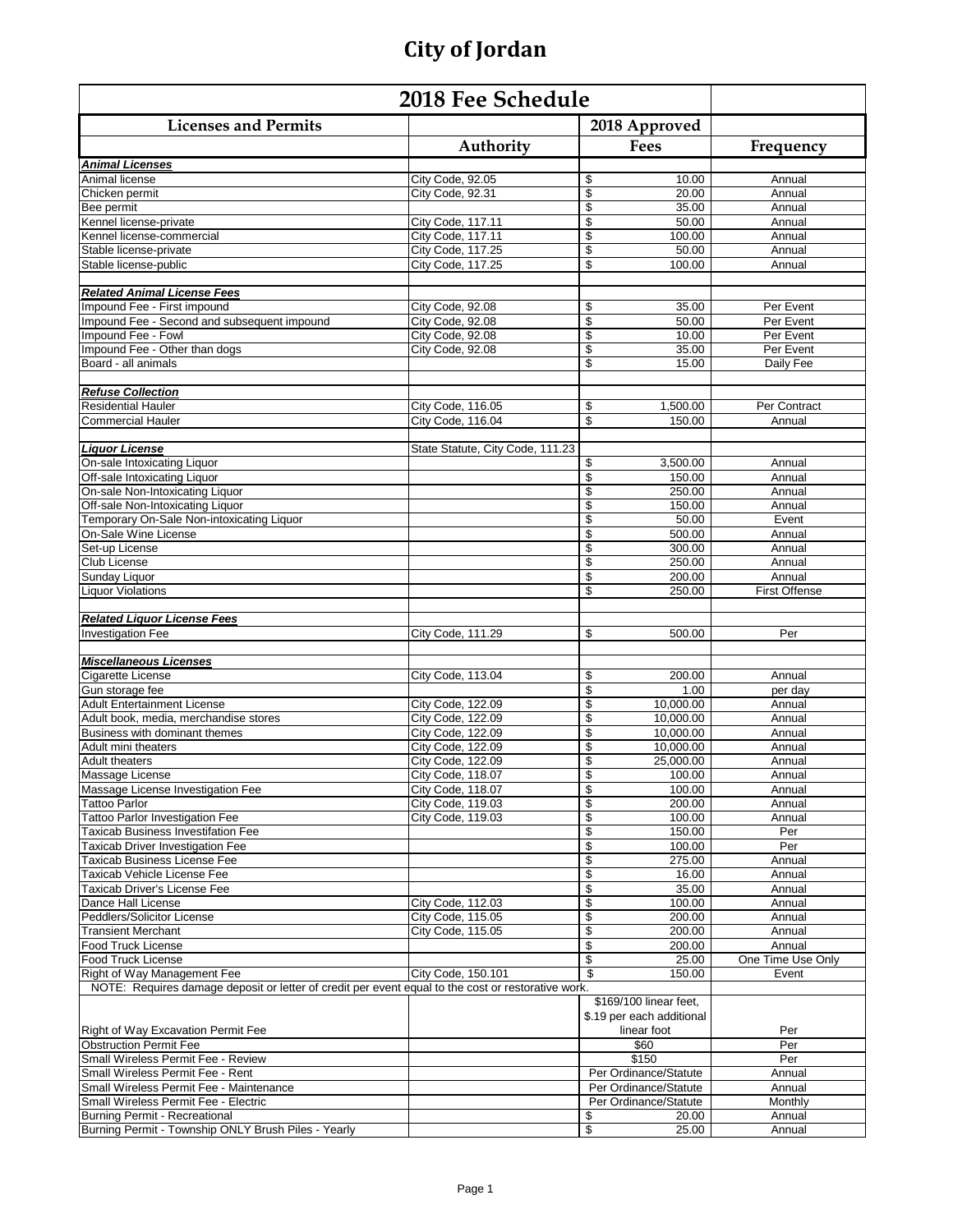| <b>Licenses and Permits</b><br>2018 Approved<br>Authority<br>Frequency<br>Fees<br>Animal Licenses<br>Annual<br>Animal license<br>City Code, 92.05<br>\$<br>10.00<br>\$<br>City Code, 92.31<br>20.00<br>Chicken permit<br>Annual<br>\$<br>35.00<br>Bee permit<br>Annual<br>\$<br>Kennel license-private<br>City Code, 117.11<br>50.00<br>Annual<br>\$<br>City Code, 117.11<br>100.00<br>Annual<br>Kennel license-commercial<br>\$<br>50.00<br>Stable license-private<br>City Code, 117.25<br>Annual<br>\$<br>City Code, 117.25<br>Stable license-public<br>100.00<br>Annual<br><b>Related Animal License Fees</b><br>\$<br>Impound Fee - First impound<br>City Code, 92.08<br>35.00<br>Per Event<br>\$<br>Impound Fee - Second and subsequent impound<br>50.00<br>City Code, 92.08<br>Per Event<br>\$<br>Impound Fee - Fowl<br>10.00<br>City Code, 92.08<br>Per Event<br>\$<br>Impound Fee - Other than dogs<br>City Code, 92.08<br>35.00<br>Per Event<br>\$<br>Board - all animals<br>15.00<br>Daily Fee<br><b>Refuse Collection</b><br>Per Contract<br><b>Residential Hauler</b><br>City Code, 116.05<br>\$<br>1,500.00<br>City Code, 116.04<br>\$<br>150.00<br>Commercial Hauler<br>Annual<br><b>Liquor License</b><br>State Statute, City Code, 111.23<br>3,500.00<br>On-sale Intoxicating Liquor<br>\$<br>Annual<br>\$<br>Off-sale Intoxicating Liquor<br>150.00<br>Annual<br>On-sale Non-Intoxicating Liquor<br>\$<br>250.00<br>Annual<br>\$<br>Off-sale Non-Intoxicating Liquor<br>150.00<br>Annual<br>\$<br>Temporary On-Sale Non-intoxicating Liquor<br>50.00<br>Event<br>\$<br>On-Sale Wine License<br>500.00<br>Annual<br>\$<br>300.00<br>Set-up License<br>Annual<br>\$<br>Club License<br>250.00<br>Annual<br>\$<br>Sunday Liquor<br>200.00<br>Annual<br><b>Liquor Violations</b><br>\$<br><b>First Offense</b><br>250.00<br><b>Related Liguor License Fees</b><br>City Code, 111.29<br>\$<br><b>Investigation Fee</b><br>500.00<br>Per<br><b>Miscellaneous Licenses</b><br>\$<br>Cigarette License<br>City Code, 113.04<br>200.00<br>Annual<br>\$<br>Gun storage fee<br>1.00<br>per day<br>\$<br>10.000.00<br><b>Adult Entertainment License</b><br>City Code, 122.09<br>Annual<br>\$<br>Adult book, media, merchandise stores<br>City Code, 122.09<br>10,000.00<br>Annual<br>\$<br>City Code, 122.09<br>10,000.00<br>Business with dominant themes<br>Annual<br>City Code, 122.09<br>\$<br>10,000.00<br>Adult mini theaters<br>Annual<br>\$<br><b>City Code, 122.09</b><br>25.000.00<br><b>Adult theaters</b><br>Annual<br>City Code, 118.07<br>\$<br>100.00<br>Massage License<br>Annual<br>Massage License Investigation Fee<br>City Code, 118.07<br>\$<br>100.00<br>Annual<br>\$<br>Tattoo Parlor<br>City Code, 119.03<br>200.00<br>Annual<br>Tattoo Parlor Investigation Fee<br>\$<br>100.00<br>City Code, 119.03<br>Annual<br>\$<br><b>Taxicab Business Investifation Fee</b><br>150.00<br>Per<br>\$<br>100.00<br>Per<br><b>Taxicab Driver Investigation Fee</b><br>\$<br>275.00<br>Taxicab Business License Fee<br>Annual<br>\$<br>Taxicab Vehicle License Fee<br>16.00<br>Annual<br>\$<br>Taxicab Driver's License Fee<br>35.00<br>Annual<br>\$<br>100.00<br>Dance Hall License<br>City Code, 112.03<br>Annual<br>\$<br>Peddlers/Solicitor License<br>City Code, 115.05<br>200.00<br>Annual<br>\$<br><b>Transient Merchant</b><br>City Code, 115.05<br>200.00<br>Annual<br>\$<br>Food Truck License<br>200.00<br>Annual<br>\$<br>25.00<br>One Time Use Only<br>Food Truck License<br>\$<br>City Code, 150.101<br>150.00<br>Right of Way Management Fee<br>Event<br>NOTE: Requires damage deposit or letter of credit per event equal to the cost or restorative work.<br>\$169/100 linear feet,<br>\$.19 per each additional<br>Right of Way Excavation Permit Fee<br>linear foot<br>Per<br><b>Obstruction Permit Fee</b><br>\$60<br>Per<br>\$150<br>Small Wireless Permit Fee - Review<br>Per<br>Per Ordinance/Statute<br>Small Wireless Permit Fee - Rent<br>Annual<br>Small Wireless Permit Fee - Maintenance<br>Per Ordinance/Statute<br>Annual<br>Small Wireless Permit Fee - Electric<br>Per Ordinance/Statute<br>Monthly<br>Burning Permit - Recreational<br>20.00<br>Annual<br>\$ | 2018 Fee Schedule                                   |  |             |        |
|----------------------------------------------------------------------------------------------------------------------------------------------------------------------------------------------------------------------------------------------------------------------------------------------------------------------------------------------------------------------------------------------------------------------------------------------------------------------------------------------------------------------------------------------------------------------------------------------------------------------------------------------------------------------------------------------------------------------------------------------------------------------------------------------------------------------------------------------------------------------------------------------------------------------------------------------------------------------------------------------------------------------------------------------------------------------------------------------------------------------------------------------------------------------------------------------------------------------------------------------------------------------------------------------------------------------------------------------------------------------------------------------------------------------------------------------------------------------------------------------------------------------------------------------------------------------------------------------------------------------------------------------------------------------------------------------------------------------------------------------------------------------------------------------------------------------------------------------------------------------------------------------------------------------------------------------------------------------------------------------------------------------------------------------------------------------------------------------------------------------------------------------------------------------------------------------------------------------------------------------------------------------------------------------------------------------------------------------------------------------------------------------------------------------------------------------------------------------------------------------------------------------------------------------------------------------------------------------------------------------------------------------------------------------------------------------------------------------------------------------------------------------------------------------------------------------------------------------------------------------------------------------------------------------------------------------------------------------------------------------------------------------------------------------------------------------------------------------------------------------------------------------------------------------------------------------------------------------------------------------------------------------------------------------------------------------------------------------------------------------------------------------------------------------------------------------------------------------------------------------------------------------------------------------------------------------------------------------------------------------------------------------------------------------------------------------------------------------------------------------------------------------------------------------------------------------------------------------------------------------------------------------------------------------------------------------------------------------------------------------------------------------------------------------------------------------------------------------------------------------------------------------------------------------------------------------------------------|-----------------------------------------------------|--|-------------|--------|
|                                                                                                                                                                                                                                                                                                                                                                                                                                                                                                                                                                                                                                                                                                                                                                                                                                                                                                                                                                                                                                                                                                                                                                                                                                                                                                                                                                                                                                                                                                                                                                                                                                                                                                                                                                                                                                                                                                                                                                                                                                                                                                                                                                                                                                                                                                                                                                                                                                                                                                                                                                                                                                                                                                                                                                                                                                                                                                                                                                                                                                                                                                                                                                                                                                                                                                                                                                                                                                                                                                                                                                                                                                                                                                                                                                                                                                                                                                                                                                                                                                                                                                                                                                                                                |                                                     |  |             |        |
|                                                                                                                                                                                                                                                                                                                                                                                                                                                                                                                                                                                                                                                                                                                                                                                                                                                                                                                                                                                                                                                                                                                                                                                                                                                                                                                                                                                                                                                                                                                                                                                                                                                                                                                                                                                                                                                                                                                                                                                                                                                                                                                                                                                                                                                                                                                                                                                                                                                                                                                                                                                                                                                                                                                                                                                                                                                                                                                                                                                                                                                                                                                                                                                                                                                                                                                                                                                                                                                                                                                                                                                                                                                                                                                                                                                                                                                                                                                                                                                                                                                                                                                                                                                                                |                                                     |  |             |        |
|                                                                                                                                                                                                                                                                                                                                                                                                                                                                                                                                                                                                                                                                                                                                                                                                                                                                                                                                                                                                                                                                                                                                                                                                                                                                                                                                                                                                                                                                                                                                                                                                                                                                                                                                                                                                                                                                                                                                                                                                                                                                                                                                                                                                                                                                                                                                                                                                                                                                                                                                                                                                                                                                                                                                                                                                                                                                                                                                                                                                                                                                                                                                                                                                                                                                                                                                                                                                                                                                                                                                                                                                                                                                                                                                                                                                                                                                                                                                                                                                                                                                                                                                                                                                                |                                                     |  |             |        |
|                                                                                                                                                                                                                                                                                                                                                                                                                                                                                                                                                                                                                                                                                                                                                                                                                                                                                                                                                                                                                                                                                                                                                                                                                                                                                                                                                                                                                                                                                                                                                                                                                                                                                                                                                                                                                                                                                                                                                                                                                                                                                                                                                                                                                                                                                                                                                                                                                                                                                                                                                                                                                                                                                                                                                                                                                                                                                                                                                                                                                                                                                                                                                                                                                                                                                                                                                                                                                                                                                                                                                                                                                                                                                                                                                                                                                                                                                                                                                                                                                                                                                                                                                                                                                |                                                     |  |             |        |
|                                                                                                                                                                                                                                                                                                                                                                                                                                                                                                                                                                                                                                                                                                                                                                                                                                                                                                                                                                                                                                                                                                                                                                                                                                                                                                                                                                                                                                                                                                                                                                                                                                                                                                                                                                                                                                                                                                                                                                                                                                                                                                                                                                                                                                                                                                                                                                                                                                                                                                                                                                                                                                                                                                                                                                                                                                                                                                                                                                                                                                                                                                                                                                                                                                                                                                                                                                                                                                                                                                                                                                                                                                                                                                                                                                                                                                                                                                                                                                                                                                                                                                                                                                                                                |                                                     |  |             |        |
|                                                                                                                                                                                                                                                                                                                                                                                                                                                                                                                                                                                                                                                                                                                                                                                                                                                                                                                                                                                                                                                                                                                                                                                                                                                                                                                                                                                                                                                                                                                                                                                                                                                                                                                                                                                                                                                                                                                                                                                                                                                                                                                                                                                                                                                                                                                                                                                                                                                                                                                                                                                                                                                                                                                                                                                                                                                                                                                                                                                                                                                                                                                                                                                                                                                                                                                                                                                                                                                                                                                                                                                                                                                                                                                                                                                                                                                                                                                                                                                                                                                                                                                                                                                                                |                                                     |  |             |        |
|                                                                                                                                                                                                                                                                                                                                                                                                                                                                                                                                                                                                                                                                                                                                                                                                                                                                                                                                                                                                                                                                                                                                                                                                                                                                                                                                                                                                                                                                                                                                                                                                                                                                                                                                                                                                                                                                                                                                                                                                                                                                                                                                                                                                                                                                                                                                                                                                                                                                                                                                                                                                                                                                                                                                                                                                                                                                                                                                                                                                                                                                                                                                                                                                                                                                                                                                                                                                                                                                                                                                                                                                                                                                                                                                                                                                                                                                                                                                                                                                                                                                                                                                                                                                                |                                                     |  |             |        |
|                                                                                                                                                                                                                                                                                                                                                                                                                                                                                                                                                                                                                                                                                                                                                                                                                                                                                                                                                                                                                                                                                                                                                                                                                                                                                                                                                                                                                                                                                                                                                                                                                                                                                                                                                                                                                                                                                                                                                                                                                                                                                                                                                                                                                                                                                                                                                                                                                                                                                                                                                                                                                                                                                                                                                                                                                                                                                                                                                                                                                                                                                                                                                                                                                                                                                                                                                                                                                                                                                                                                                                                                                                                                                                                                                                                                                                                                                                                                                                                                                                                                                                                                                                                                                |                                                     |  |             |        |
|                                                                                                                                                                                                                                                                                                                                                                                                                                                                                                                                                                                                                                                                                                                                                                                                                                                                                                                                                                                                                                                                                                                                                                                                                                                                                                                                                                                                                                                                                                                                                                                                                                                                                                                                                                                                                                                                                                                                                                                                                                                                                                                                                                                                                                                                                                                                                                                                                                                                                                                                                                                                                                                                                                                                                                                                                                                                                                                                                                                                                                                                                                                                                                                                                                                                                                                                                                                                                                                                                                                                                                                                                                                                                                                                                                                                                                                                                                                                                                                                                                                                                                                                                                                                                |                                                     |  |             |        |
|                                                                                                                                                                                                                                                                                                                                                                                                                                                                                                                                                                                                                                                                                                                                                                                                                                                                                                                                                                                                                                                                                                                                                                                                                                                                                                                                                                                                                                                                                                                                                                                                                                                                                                                                                                                                                                                                                                                                                                                                                                                                                                                                                                                                                                                                                                                                                                                                                                                                                                                                                                                                                                                                                                                                                                                                                                                                                                                                                                                                                                                                                                                                                                                                                                                                                                                                                                                                                                                                                                                                                                                                                                                                                                                                                                                                                                                                                                                                                                                                                                                                                                                                                                                                                |                                                     |  |             |        |
|                                                                                                                                                                                                                                                                                                                                                                                                                                                                                                                                                                                                                                                                                                                                                                                                                                                                                                                                                                                                                                                                                                                                                                                                                                                                                                                                                                                                                                                                                                                                                                                                                                                                                                                                                                                                                                                                                                                                                                                                                                                                                                                                                                                                                                                                                                                                                                                                                                                                                                                                                                                                                                                                                                                                                                                                                                                                                                                                                                                                                                                                                                                                                                                                                                                                                                                                                                                                                                                                                                                                                                                                                                                                                                                                                                                                                                                                                                                                                                                                                                                                                                                                                                                                                |                                                     |  |             |        |
|                                                                                                                                                                                                                                                                                                                                                                                                                                                                                                                                                                                                                                                                                                                                                                                                                                                                                                                                                                                                                                                                                                                                                                                                                                                                                                                                                                                                                                                                                                                                                                                                                                                                                                                                                                                                                                                                                                                                                                                                                                                                                                                                                                                                                                                                                                                                                                                                                                                                                                                                                                                                                                                                                                                                                                                                                                                                                                                                                                                                                                                                                                                                                                                                                                                                                                                                                                                                                                                                                                                                                                                                                                                                                                                                                                                                                                                                                                                                                                                                                                                                                                                                                                                                                |                                                     |  |             |        |
|                                                                                                                                                                                                                                                                                                                                                                                                                                                                                                                                                                                                                                                                                                                                                                                                                                                                                                                                                                                                                                                                                                                                                                                                                                                                                                                                                                                                                                                                                                                                                                                                                                                                                                                                                                                                                                                                                                                                                                                                                                                                                                                                                                                                                                                                                                                                                                                                                                                                                                                                                                                                                                                                                                                                                                                                                                                                                                                                                                                                                                                                                                                                                                                                                                                                                                                                                                                                                                                                                                                                                                                                                                                                                                                                                                                                                                                                                                                                                                                                                                                                                                                                                                                                                |                                                     |  |             |        |
|                                                                                                                                                                                                                                                                                                                                                                                                                                                                                                                                                                                                                                                                                                                                                                                                                                                                                                                                                                                                                                                                                                                                                                                                                                                                                                                                                                                                                                                                                                                                                                                                                                                                                                                                                                                                                                                                                                                                                                                                                                                                                                                                                                                                                                                                                                                                                                                                                                                                                                                                                                                                                                                                                                                                                                                                                                                                                                                                                                                                                                                                                                                                                                                                                                                                                                                                                                                                                                                                                                                                                                                                                                                                                                                                                                                                                                                                                                                                                                                                                                                                                                                                                                                                                |                                                     |  |             |        |
|                                                                                                                                                                                                                                                                                                                                                                                                                                                                                                                                                                                                                                                                                                                                                                                                                                                                                                                                                                                                                                                                                                                                                                                                                                                                                                                                                                                                                                                                                                                                                                                                                                                                                                                                                                                                                                                                                                                                                                                                                                                                                                                                                                                                                                                                                                                                                                                                                                                                                                                                                                                                                                                                                                                                                                                                                                                                                                                                                                                                                                                                                                                                                                                                                                                                                                                                                                                                                                                                                                                                                                                                                                                                                                                                                                                                                                                                                                                                                                                                                                                                                                                                                                                                                |                                                     |  |             |        |
|                                                                                                                                                                                                                                                                                                                                                                                                                                                                                                                                                                                                                                                                                                                                                                                                                                                                                                                                                                                                                                                                                                                                                                                                                                                                                                                                                                                                                                                                                                                                                                                                                                                                                                                                                                                                                                                                                                                                                                                                                                                                                                                                                                                                                                                                                                                                                                                                                                                                                                                                                                                                                                                                                                                                                                                                                                                                                                                                                                                                                                                                                                                                                                                                                                                                                                                                                                                                                                                                                                                                                                                                                                                                                                                                                                                                                                                                                                                                                                                                                                                                                                                                                                                                                |                                                     |  |             |        |
|                                                                                                                                                                                                                                                                                                                                                                                                                                                                                                                                                                                                                                                                                                                                                                                                                                                                                                                                                                                                                                                                                                                                                                                                                                                                                                                                                                                                                                                                                                                                                                                                                                                                                                                                                                                                                                                                                                                                                                                                                                                                                                                                                                                                                                                                                                                                                                                                                                                                                                                                                                                                                                                                                                                                                                                                                                                                                                                                                                                                                                                                                                                                                                                                                                                                                                                                                                                                                                                                                                                                                                                                                                                                                                                                                                                                                                                                                                                                                                                                                                                                                                                                                                                                                |                                                     |  |             |        |
|                                                                                                                                                                                                                                                                                                                                                                                                                                                                                                                                                                                                                                                                                                                                                                                                                                                                                                                                                                                                                                                                                                                                                                                                                                                                                                                                                                                                                                                                                                                                                                                                                                                                                                                                                                                                                                                                                                                                                                                                                                                                                                                                                                                                                                                                                                                                                                                                                                                                                                                                                                                                                                                                                                                                                                                                                                                                                                                                                                                                                                                                                                                                                                                                                                                                                                                                                                                                                                                                                                                                                                                                                                                                                                                                                                                                                                                                                                                                                                                                                                                                                                                                                                                                                |                                                     |  |             |        |
|                                                                                                                                                                                                                                                                                                                                                                                                                                                                                                                                                                                                                                                                                                                                                                                                                                                                                                                                                                                                                                                                                                                                                                                                                                                                                                                                                                                                                                                                                                                                                                                                                                                                                                                                                                                                                                                                                                                                                                                                                                                                                                                                                                                                                                                                                                                                                                                                                                                                                                                                                                                                                                                                                                                                                                                                                                                                                                                                                                                                                                                                                                                                                                                                                                                                                                                                                                                                                                                                                                                                                                                                                                                                                                                                                                                                                                                                                                                                                                                                                                                                                                                                                                                                                |                                                     |  |             |        |
|                                                                                                                                                                                                                                                                                                                                                                                                                                                                                                                                                                                                                                                                                                                                                                                                                                                                                                                                                                                                                                                                                                                                                                                                                                                                                                                                                                                                                                                                                                                                                                                                                                                                                                                                                                                                                                                                                                                                                                                                                                                                                                                                                                                                                                                                                                                                                                                                                                                                                                                                                                                                                                                                                                                                                                                                                                                                                                                                                                                                                                                                                                                                                                                                                                                                                                                                                                                                                                                                                                                                                                                                                                                                                                                                                                                                                                                                                                                                                                                                                                                                                                                                                                                                                |                                                     |  |             |        |
|                                                                                                                                                                                                                                                                                                                                                                                                                                                                                                                                                                                                                                                                                                                                                                                                                                                                                                                                                                                                                                                                                                                                                                                                                                                                                                                                                                                                                                                                                                                                                                                                                                                                                                                                                                                                                                                                                                                                                                                                                                                                                                                                                                                                                                                                                                                                                                                                                                                                                                                                                                                                                                                                                                                                                                                                                                                                                                                                                                                                                                                                                                                                                                                                                                                                                                                                                                                                                                                                                                                                                                                                                                                                                                                                                                                                                                                                                                                                                                                                                                                                                                                                                                                                                |                                                     |  |             |        |
|                                                                                                                                                                                                                                                                                                                                                                                                                                                                                                                                                                                                                                                                                                                                                                                                                                                                                                                                                                                                                                                                                                                                                                                                                                                                                                                                                                                                                                                                                                                                                                                                                                                                                                                                                                                                                                                                                                                                                                                                                                                                                                                                                                                                                                                                                                                                                                                                                                                                                                                                                                                                                                                                                                                                                                                                                                                                                                                                                                                                                                                                                                                                                                                                                                                                                                                                                                                                                                                                                                                                                                                                                                                                                                                                                                                                                                                                                                                                                                                                                                                                                                                                                                                                                |                                                     |  |             |        |
|                                                                                                                                                                                                                                                                                                                                                                                                                                                                                                                                                                                                                                                                                                                                                                                                                                                                                                                                                                                                                                                                                                                                                                                                                                                                                                                                                                                                                                                                                                                                                                                                                                                                                                                                                                                                                                                                                                                                                                                                                                                                                                                                                                                                                                                                                                                                                                                                                                                                                                                                                                                                                                                                                                                                                                                                                                                                                                                                                                                                                                                                                                                                                                                                                                                                                                                                                                                                                                                                                                                                                                                                                                                                                                                                                                                                                                                                                                                                                                                                                                                                                                                                                                                                                |                                                     |  |             |        |
|                                                                                                                                                                                                                                                                                                                                                                                                                                                                                                                                                                                                                                                                                                                                                                                                                                                                                                                                                                                                                                                                                                                                                                                                                                                                                                                                                                                                                                                                                                                                                                                                                                                                                                                                                                                                                                                                                                                                                                                                                                                                                                                                                                                                                                                                                                                                                                                                                                                                                                                                                                                                                                                                                                                                                                                                                                                                                                                                                                                                                                                                                                                                                                                                                                                                                                                                                                                                                                                                                                                                                                                                                                                                                                                                                                                                                                                                                                                                                                                                                                                                                                                                                                                                                |                                                     |  |             |        |
|                                                                                                                                                                                                                                                                                                                                                                                                                                                                                                                                                                                                                                                                                                                                                                                                                                                                                                                                                                                                                                                                                                                                                                                                                                                                                                                                                                                                                                                                                                                                                                                                                                                                                                                                                                                                                                                                                                                                                                                                                                                                                                                                                                                                                                                                                                                                                                                                                                                                                                                                                                                                                                                                                                                                                                                                                                                                                                                                                                                                                                                                                                                                                                                                                                                                                                                                                                                                                                                                                                                                                                                                                                                                                                                                                                                                                                                                                                                                                                                                                                                                                                                                                                                                                |                                                     |  |             |        |
|                                                                                                                                                                                                                                                                                                                                                                                                                                                                                                                                                                                                                                                                                                                                                                                                                                                                                                                                                                                                                                                                                                                                                                                                                                                                                                                                                                                                                                                                                                                                                                                                                                                                                                                                                                                                                                                                                                                                                                                                                                                                                                                                                                                                                                                                                                                                                                                                                                                                                                                                                                                                                                                                                                                                                                                                                                                                                                                                                                                                                                                                                                                                                                                                                                                                                                                                                                                                                                                                                                                                                                                                                                                                                                                                                                                                                                                                                                                                                                                                                                                                                                                                                                                                                |                                                     |  |             |        |
|                                                                                                                                                                                                                                                                                                                                                                                                                                                                                                                                                                                                                                                                                                                                                                                                                                                                                                                                                                                                                                                                                                                                                                                                                                                                                                                                                                                                                                                                                                                                                                                                                                                                                                                                                                                                                                                                                                                                                                                                                                                                                                                                                                                                                                                                                                                                                                                                                                                                                                                                                                                                                                                                                                                                                                                                                                                                                                                                                                                                                                                                                                                                                                                                                                                                                                                                                                                                                                                                                                                                                                                                                                                                                                                                                                                                                                                                                                                                                                                                                                                                                                                                                                                                                |                                                     |  |             |        |
|                                                                                                                                                                                                                                                                                                                                                                                                                                                                                                                                                                                                                                                                                                                                                                                                                                                                                                                                                                                                                                                                                                                                                                                                                                                                                                                                                                                                                                                                                                                                                                                                                                                                                                                                                                                                                                                                                                                                                                                                                                                                                                                                                                                                                                                                                                                                                                                                                                                                                                                                                                                                                                                                                                                                                                                                                                                                                                                                                                                                                                                                                                                                                                                                                                                                                                                                                                                                                                                                                                                                                                                                                                                                                                                                                                                                                                                                                                                                                                                                                                                                                                                                                                                                                |                                                     |  |             |        |
|                                                                                                                                                                                                                                                                                                                                                                                                                                                                                                                                                                                                                                                                                                                                                                                                                                                                                                                                                                                                                                                                                                                                                                                                                                                                                                                                                                                                                                                                                                                                                                                                                                                                                                                                                                                                                                                                                                                                                                                                                                                                                                                                                                                                                                                                                                                                                                                                                                                                                                                                                                                                                                                                                                                                                                                                                                                                                                                                                                                                                                                                                                                                                                                                                                                                                                                                                                                                                                                                                                                                                                                                                                                                                                                                                                                                                                                                                                                                                                                                                                                                                                                                                                                                                |                                                     |  |             |        |
|                                                                                                                                                                                                                                                                                                                                                                                                                                                                                                                                                                                                                                                                                                                                                                                                                                                                                                                                                                                                                                                                                                                                                                                                                                                                                                                                                                                                                                                                                                                                                                                                                                                                                                                                                                                                                                                                                                                                                                                                                                                                                                                                                                                                                                                                                                                                                                                                                                                                                                                                                                                                                                                                                                                                                                                                                                                                                                                                                                                                                                                                                                                                                                                                                                                                                                                                                                                                                                                                                                                                                                                                                                                                                                                                                                                                                                                                                                                                                                                                                                                                                                                                                                                                                |                                                     |  |             |        |
|                                                                                                                                                                                                                                                                                                                                                                                                                                                                                                                                                                                                                                                                                                                                                                                                                                                                                                                                                                                                                                                                                                                                                                                                                                                                                                                                                                                                                                                                                                                                                                                                                                                                                                                                                                                                                                                                                                                                                                                                                                                                                                                                                                                                                                                                                                                                                                                                                                                                                                                                                                                                                                                                                                                                                                                                                                                                                                                                                                                                                                                                                                                                                                                                                                                                                                                                                                                                                                                                                                                                                                                                                                                                                                                                                                                                                                                                                                                                                                                                                                                                                                                                                                                                                |                                                     |  |             |        |
|                                                                                                                                                                                                                                                                                                                                                                                                                                                                                                                                                                                                                                                                                                                                                                                                                                                                                                                                                                                                                                                                                                                                                                                                                                                                                                                                                                                                                                                                                                                                                                                                                                                                                                                                                                                                                                                                                                                                                                                                                                                                                                                                                                                                                                                                                                                                                                                                                                                                                                                                                                                                                                                                                                                                                                                                                                                                                                                                                                                                                                                                                                                                                                                                                                                                                                                                                                                                                                                                                                                                                                                                                                                                                                                                                                                                                                                                                                                                                                                                                                                                                                                                                                                                                |                                                     |  |             |        |
|                                                                                                                                                                                                                                                                                                                                                                                                                                                                                                                                                                                                                                                                                                                                                                                                                                                                                                                                                                                                                                                                                                                                                                                                                                                                                                                                                                                                                                                                                                                                                                                                                                                                                                                                                                                                                                                                                                                                                                                                                                                                                                                                                                                                                                                                                                                                                                                                                                                                                                                                                                                                                                                                                                                                                                                                                                                                                                                                                                                                                                                                                                                                                                                                                                                                                                                                                                                                                                                                                                                                                                                                                                                                                                                                                                                                                                                                                                                                                                                                                                                                                                                                                                                                                |                                                     |  |             |        |
|                                                                                                                                                                                                                                                                                                                                                                                                                                                                                                                                                                                                                                                                                                                                                                                                                                                                                                                                                                                                                                                                                                                                                                                                                                                                                                                                                                                                                                                                                                                                                                                                                                                                                                                                                                                                                                                                                                                                                                                                                                                                                                                                                                                                                                                                                                                                                                                                                                                                                                                                                                                                                                                                                                                                                                                                                                                                                                                                                                                                                                                                                                                                                                                                                                                                                                                                                                                                                                                                                                                                                                                                                                                                                                                                                                                                                                                                                                                                                                                                                                                                                                                                                                                                                |                                                     |  |             |        |
|                                                                                                                                                                                                                                                                                                                                                                                                                                                                                                                                                                                                                                                                                                                                                                                                                                                                                                                                                                                                                                                                                                                                                                                                                                                                                                                                                                                                                                                                                                                                                                                                                                                                                                                                                                                                                                                                                                                                                                                                                                                                                                                                                                                                                                                                                                                                                                                                                                                                                                                                                                                                                                                                                                                                                                                                                                                                                                                                                                                                                                                                                                                                                                                                                                                                                                                                                                                                                                                                                                                                                                                                                                                                                                                                                                                                                                                                                                                                                                                                                                                                                                                                                                                                                |                                                     |  |             |        |
|                                                                                                                                                                                                                                                                                                                                                                                                                                                                                                                                                                                                                                                                                                                                                                                                                                                                                                                                                                                                                                                                                                                                                                                                                                                                                                                                                                                                                                                                                                                                                                                                                                                                                                                                                                                                                                                                                                                                                                                                                                                                                                                                                                                                                                                                                                                                                                                                                                                                                                                                                                                                                                                                                                                                                                                                                                                                                                                                                                                                                                                                                                                                                                                                                                                                                                                                                                                                                                                                                                                                                                                                                                                                                                                                                                                                                                                                                                                                                                                                                                                                                                                                                                                                                |                                                     |  |             |        |
|                                                                                                                                                                                                                                                                                                                                                                                                                                                                                                                                                                                                                                                                                                                                                                                                                                                                                                                                                                                                                                                                                                                                                                                                                                                                                                                                                                                                                                                                                                                                                                                                                                                                                                                                                                                                                                                                                                                                                                                                                                                                                                                                                                                                                                                                                                                                                                                                                                                                                                                                                                                                                                                                                                                                                                                                                                                                                                                                                                                                                                                                                                                                                                                                                                                                                                                                                                                                                                                                                                                                                                                                                                                                                                                                                                                                                                                                                                                                                                                                                                                                                                                                                                                                                |                                                     |  |             |        |
|                                                                                                                                                                                                                                                                                                                                                                                                                                                                                                                                                                                                                                                                                                                                                                                                                                                                                                                                                                                                                                                                                                                                                                                                                                                                                                                                                                                                                                                                                                                                                                                                                                                                                                                                                                                                                                                                                                                                                                                                                                                                                                                                                                                                                                                                                                                                                                                                                                                                                                                                                                                                                                                                                                                                                                                                                                                                                                                                                                                                                                                                                                                                                                                                                                                                                                                                                                                                                                                                                                                                                                                                                                                                                                                                                                                                                                                                                                                                                                                                                                                                                                                                                                                                                |                                                     |  |             |        |
|                                                                                                                                                                                                                                                                                                                                                                                                                                                                                                                                                                                                                                                                                                                                                                                                                                                                                                                                                                                                                                                                                                                                                                                                                                                                                                                                                                                                                                                                                                                                                                                                                                                                                                                                                                                                                                                                                                                                                                                                                                                                                                                                                                                                                                                                                                                                                                                                                                                                                                                                                                                                                                                                                                                                                                                                                                                                                                                                                                                                                                                                                                                                                                                                                                                                                                                                                                                                                                                                                                                                                                                                                                                                                                                                                                                                                                                                                                                                                                                                                                                                                                                                                                                                                |                                                     |  |             |        |
|                                                                                                                                                                                                                                                                                                                                                                                                                                                                                                                                                                                                                                                                                                                                                                                                                                                                                                                                                                                                                                                                                                                                                                                                                                                                                                                                                                                                                                                                                                                                                                                                                                                                                                                                                                                                                                                                                                                                                                                                                                                                                                                                                                                                                                                                                                                                                                                                                                                                                                                                                                                                                                                                                                                                                                                                                                                                                                                                                                                                                                                                                                                                                                                                                                                                                                                                                                                                                                                                                                                                                                                                                                                                                                                                                                                                                                                                                                                                                                                                                                                                                                                                                                                                                |                                                     |  |             |        |
|                                                                                                                                                                                                                                                                                                                                                                                                                                                                                                                                                                                                                                                                                                                                                                                                                                                                                                                                                                                                                                                                                                                                                                                                                                                                                                                                                                                                                                                                                                                                                                                                                                                                                                                                                                                                                                                                                                                                                                                                                                                                                                                                                                                                                                                                                                                                                                                                                                                                                                                                                                                                                                                                                                                                                                                                                                                                                                                                                                                                                                                                                                                                                                                                                                                                                                                                                                                                                                                                                                                                                                                                                                                                                                                                                                                                                                                                                                                                                                                                                                                                                                                                                                                                                |                                                     |  |             |        |
|                                                                                                                                                                                                                                                                                                                                                                                                                                                                                                                                                                                                                                                                                                                                                                                                                                                                                                                                                                                                                                                                                                                                                                                                                                                                                                                                                                                                                                                                                                                                                                                                                                                                                                                                                                                                                                                                                                                                                                                                                                                                                                                                                                                                                                                                                                                                                                                                                                                                                                                                                                                                                                                                                                                                                                                                                                                                                                                                                                                                                                                                                                                                                                                                                                                                                                                                                                                                                                                                                                                                                                                                                                                                                                                                                                                                                                                                                                                                                                                                                                                                                                                                                                                                                |                                                     |  |             |        |
|                                                                                                                                                                                                                                                                                                                                                                                                                                                                                                                                                                                                                                                                                                                                                                                                                                                                                                                                                                                                                                                                                                                                                                                                                                                                                                                                                                                                                                                                                                                                                                                                                                                                                                                                                                                                                                                                                                                                                                                                                                                                                                                                                                                                                                                                                                                                                                                                                                                                                                                                                                                                                                                                                                                                                                                                                                                                                                                                                                                                                                                                                                                                                                                                                                                                                                                                                                                                                                                                                                                                                                                                                                                                                                                                                                                                                                                                                                                                                                                                                                                                                                                                                                                                                |                                                     |  |             |        |
|                                                                                                                                                                                                                                                                                                                                                                                                                                                                                                                                                                                                                                                                                                                                                                                                                                                                                                                                                                                                                                                                                                                                                                                                                                                                                                                                                                                                                                                                                                                                                                                                                                                                                                                                                                                                                                                                                                                                                                                                                                                                                                                                                                                                                                                                                                                                                                                                                                                                                                                                                                                                                                                                                                                                                                                                                                                                                                                                                                                                                                                                                                                                                                                                                                                                                                                                                                                                                                                                                                                                                                                                                                                                                                                                                                                                                                                                                                                                                                                                                                                                                                                                                                                                                |                                                     |  |             |        |
|                                                                                                                                                                                                                                                                                                                                                                                                                                                                                                                                                                                                                                                                                                                                                                                                                                                                                                                                                                                                                                                                                                                                                                                                                                                                                                                                                                                                                                                                                                                                                                                                                                                                                                                                                                                                                                                                                                                                                                                                                                                                                                                                                                                                                                                                                                                                                                                                                                                                                                                                                                                                                                                                                                                                                                                                                                                                                                                                                                                                                                                                                                                                                                                                                                                                                                                                                                                                                                                                                                                                                                                                                                                                                                                                                                                                                                                                                                                                                                                                                                                                                                                                                                                                                |                                                     |  |             |        |
|                                                                                                                                                                                                                                                                                                                                                                                                                                                                                                                                                                                                                                                                                                                                                                                                                                                                                                                                                                                                                                                                                                                                                                                                                                                                                                                                                                                                                                                                                                                                                                                                                                                                                                                                                                                                                                                                                                                                                                                                                                                                                                                                                                                                                                                                                                                                                                                                                                                                                                                                                                                                                                                                                                                                                                                                                                                                                                                                                                                                                                                                                                                                                                                                                                                                                                                                                                                                                                                                                                                                                                                                                                                                                                                                                                                                                                                                                                                                                                                                                                                                                                                                                                                                                |                                                     |  |             |        |
|                                                                                                                                                                                                                                                                                                                                                                                                                                                                                                                                                                                                                                                                                                                                                                                                                                                                                                                                                                                                                                                                                                                                                                                                                                                                                                                                                                                                                                                                                                                                                                                                                                                                                                                                                                                                                                                                                                                                                                                                                                                                                                                                                                                                                                                                                                                                                                                                                                                                                                                                                                                                                                                                                                                                                                                                                                                                                                                                                                                                                                                                                                                                                                                                                                                                                                                                                                                                                                                                                                                                                                                                                                                                                                                                                                                                                                                                                                                                                                                                                                                                                                                                                                                                                |                                                     |  |             |        |
|                                                                                                                                                                                                                                                                                                                                                                                                                                                                                                                                                                                                                                                                                                                                                                                                                                                                                                                                                                                                                                                                                                                                                                                                                                                                                                                                                                                                                                                                                                                                                                                                                                                                                                                                                                                                                                                                                                                                                                                                                                                                                                                                                                                                                                                                                                                                                                                                                                                                                                                                                                                                                                                                                                                                                                                                                                                                                                                                                                                                                                                                                                                                                                                                                                                                                                                                                                                                                                                                                                                                                                                                                                                                                                                                                                                                                                                                                                                                                                                                                                                                                                                                                                                                                |                                                     |  |             |        |
|                                                                                                                                                                                                                                                                                                                                                                                                                                                                                                                                                                                                                                                                                                                                                                                                                                                                                                                                                                                                                                                                                                                                                                                                                                                                                                                                                                                                                                                                                                                                                                                                                                                                                                                                                                                                                                                                                                                                                                                                                                                                                                                                                                                                                                                                                                                                                                                                                                                                                                                                                                                                                                                                                                                                                                                                                                                                                                                                                                                                                                                                                                                                                                                                                                                                                                                                                                                                                                                                                                                                                                                                                                                                                                                                                                                                                                                                                                                                                                                                                                                                                                                                                                                                                |                                                     |  |             |        |
|                                                                                                                                                                                                                                                                                                                                                                                                                                                                                                                                                                                                                                                                                                                                                                                                                                                                                                                                                                                                                                                                                                                                                                                                                                                                                                                                                                                                                                                                                                                                                                                                                                                                                                                                                                                                                                                                                                                                                                                                                                                                                                                                                                                                                                                                                                                                                                                                                                                                                                                                                                                                                                                                                                                                                                                                                                                                                                                                                                                                                                                                                                                                                                                                                                                                                                                                                                                                                                                                                                                                                                                                                                                                                                                                                                                                                                                                                                                                                                                                                                                                                                                                                                                                                |                                                     |  |             |        |
|                                                                                                                                                                                                                                                                                                                                                                                                                                                                                                                                                                                                                                                                                                                                                                                                                                                                                                                                                                                                                                                                                                                                                                                                                                                                                                                                                                                                                                                                                                                                                                                                                                                                                                                                                                                                                                                                                                                                                                                                                                                                                                                                                                                                                                                                                                                                                                                                                                                                                                                                                                                                                                                                                                                                                                                                                                                                                                                                                                                                                                                                                                                                                                                                                                                                                                                                                                                                                                                                                                                                                                                                                                                                                                                                                                                                                                                                                                                                                                                                                                                                                                                                                                                                                |                                                     |  |             |        |
|                                                                                                                                                                                                                                                                                                                                                                                                                                                                                                                                                                                                                                                                                                                                                                                                                                                                                                                                                                                                                                                                                                                                                                                                                                                                                                                                                                                                                                                                                                                                                                                                                                                                                                                                                                                                                                                                                                                                                                                                                                                                                                                                                                                                                                                                                                                                                                                                                                                                                                                                                                                                                                                                                                                                                                                                                                                                                                                                                                                                                                                                                                                                                                                                                                                                                                                                                                                                                                                                                                                                                                                                                                                                                                                                                                                                                                                                                                                                                                                                                                                                                                                                                                                                                |                                                     |  |             |        |
|                                                                                                                                                                                                                                                                                                                                                                                                                                                                                                                                                                                                                                                                                                                                                                                                                                                                                                                                                                                                                                                                                                                                                                                                                                                                                                                                                                                                                                                                                                                                                                                                                                                                                                                                                                                                                                                                                                                                                                                                                                                                                                                                                                                                                                                                                                                                                                                                                                                                                                                                                                                                                                                                                                                                                                                                                                                                                                                                                                                                                                                                                                                                                                                                                                                                                                                                                                                                                                                                                                                                                                                                                                                                                                                                                                                                                                                                                                                                                                                                                                                                                                                                                                                                                |                                                     |  |             |        |
|                                                                                                                                                                                                                                                                                                                                                                                                                                                                                                                                                                                                                                                                                                                                                                                                                                                                                                                                                                                                                                                                                                                                                                                                                                                                                                                                                                                                                                                                                                                                                                                                                                                                                                                                                                                                                                                                                                                                                                                                                                                                                                                                                                                                                                                                                                                                                                                                                                                                                                                                                                                                                                                                                                                                                                                                                                                                                                                                                                                                                                                                                                                                                                                                                                                                                                                                                                                                                                                                                                                                                                                                                                                                                                                                                                                                                                                                                                                                                                                                                                                                                                                                                                                                                |                                                     |  |             |        |
|                                                                                                                                                                                                                                                                                                                                                                                                                                                                                                                                                                                                                                                                                                                                                                                                                                                                                                                                                                                                                                                                                                                                                                                                                                                                                                                                                                                                                                                                                                                                                                                                                                                                                                                                                                                                                                                                                                                                                                                                                                                                                                                                                                                                                                                                                                                                                                                                                                                                                                                                                                                                                                                                                                                                                                                                                                                                                                                                                                                                                                                                                                                                                                                                                                                                                                                                                                                                                                                                                                                                                                                                                                                                                                                                                                                                                                                                                                                                                                                                                                                                                                                                                                                                                |                                                     |  |             |        |
|                                                                                                                                                                                                                                                                                                                                                                                                                                                                                                                                                                                                                                                                                                                                                                                                                                                                                                                                                                                                                                                                                                                                                                                                                                                                                                                                                                                                                                                                                                                                                                                                                                                                                                                                                                                                                                                                                                                                                                                                                                                                                                                                                                                                                                                                                                                                                                                                                                                                                                                                                                                                                                                                                                                                                                                                                                                                                                                                                                                                                                                                                                                                                                                                                                                                                                                                                                                                                                                                                                                                                                                                                                                                                                                                                                                                                                                                                                                                                                                                                                                                                                                                                                                                                |                                                     |  |             |        |
|                                                                                                                                                                                                                                                                                                                                                                                                                                                                                                                                                                                                                                                                                                                                                                                                                                                                                                                                                                                                                                                                                                                                                                                                                                                                                                                                                                                                                                                                                                                                                                                                                                                                                                                                                                                                                                                                                                                                                                                                                                                                                                                                                                                                                                                                                                                                                                                                                                                                                                                                                                                                                                                                                                                                                                                                                                                                                                                                                                                                                                                                                                                                                                                                                                                                                                                                                                                                                                                                                                                                                                                                                                                                                                                                                                                                                                                                                                                                                                                                                                                                                                                                                                                                                |                                                     |  |             |        |
|                                                                                                                                                                                                                                                                                                                                                                                                                                                                                                                                                                                                                                                                                                                                                                                                                                                                                                                                                                                                                                                                                                                                                                                                                                                                                                                                                                                                                                                                                                                                                                                                                                                                                                                                                                                                                                                                                                                                                                                                                                                                                                                                                                                                                                                                                                                                                                                                                                                                                                                                                                                                                                                                                                                                                                                                                                                                                                                                                                                                                                                                                                                                                                                                                                                                                                                                                                                                                                                                                                                                                                                                                                                                                                                                                                                                                                                                                                                                                                                                                                                                                                                                                                                                                |                                                     |  |             |        |
|                                                                                                                                                                                                                                                                                                                                                                                                                                                                                                                                                                                                                                                                                                                                                                                                                                                                                                                                                                                                                                                                                                                                                                                                                                                                                                                                                                                                                                                                                                                                                                                                                                                                                                                                                                                                                                                                                                                                                                                                                                                                                                                                                                                                                                                                                                                                                                                                                                                                                                                                                                                                                                                                                                                                                                                                                                                                                                                                                                                                                                                                                                                                                                                                                                                                                                                                                                                                                                                                                                                                                                                                                                                                                                                                                                                                                                                                                                                                                                                                                                                                                                                                                                                                                |                                                     |  |             |        |
|                                                                                                                                                                                                                                                                                                                                                                                                                                                                                                                                                                                                                                                                                                                                                                                                                                                                                                                                                                                                                                                                                                                                                                                                                                                                                                                                                                                                                                                                                                                                                                                                                                                                                                                                                                                                                                                                                                                                                                                                                                                                                                                                                                                                                                                                                                                                                                                                                                                                                                                                                                                                                                                                                                                                                                                                                                                                                                                                                                                                                                                                                                                                                                                                                                                                                                                                                                                                                                                                                                                                                                                                                                                                                                                                                                                                                                                                                                                                                                                                                                                                                                                                                                                                                |                                                     |  |             |        |
|                                                                                                                                                                                                                                                                                                                                                                                                                                                                                                                                                                                                                                                                                                                                                                                                                                                                                                                                                                                                                                                                                                                                                                                                                                                                                                                                                                                                                                                                                                                                                                                                                                                                                                                                                                                                                                                                                                                                                                                                                                                                                                                                                                                                                                                                                                                                                                                                                                                                                                                                                                                                                                                                                                                                                                                                                                                                                                                                                                                                                                                                                                                                                                                                                                                                                                                                                                                                                                                                                                                                                                                                                                                                                                                                                                                                                                                                                                                                                                                                                                                                                                                                                                                                                |                                                     |  |             |        |
|                                                                                                                                                                                                                                                                                                                                                                                                                                                                                                                                                                                                                                                                                                                                                                                                                                                                                                                                                                                                                                                                                                                                                                                                                                                                                                                                                                                                                                                                                                                                                                                                                                                                                                                                                                                                                                                                                                                                                                                                                                                                                                                                                                                                                                                                                                                                                                                                                                                                                                                                                                                                                                                                                                                                                                                                                                                                                                                                                                                                                                                                                                                                                                                                                                                                                                                                                                                                                                                                                                                                                                                                                                                                                                                                                                                                                                                                                                                                                                                                                                                                                                                                                                                                                |                                                     |  |             |        |
|                                                                                                                                                                                                                                                                                                                                                                                                                                                                                                                                                                                                                                                                                                                                                                                                                                                                                                                                                                                                                                                                                                                                                                                                                                                                                                                                                                                                                                                                                                                                                                                                                                                                                                                                                                                                                                                                                                                                                                                                                                                                                                                                                                                                                                                                                                                                                                                                                                                                                                                                                                                                                                                                                                                                                                                                                                                                                                                                                                                                                                                                                                                                                                                                                                                                                                                                                                                                                                                                                                                                                                                                                                                                                                                                                                                                                                                                                                                                                                                                                                                                                                                                                                                                                |                                                     |  |             |        |
|                                                                                                                                                                                                                                                                                                                                                                                                                                                                                                                                                                                                                                                                                                                                                                                                                                                                                                                                                                                                                                                                                                                                                                                                                                                                                                                                                                                                                                                                                                                                                                                                                                                                                                                                                                                                                                                                                                                                                                                                                                                                                                                                                                                                                                                                                                                                                                                                                                                                                                                                                                                                                                                                                                                                                                                                                                                                                                                                                                                                                                                                                                                                                                                                                                                                                                                                                                                                                                                                                                                                                                                                                                                                                                                                                                                                                                                                                                                                                                                                                                                                                                                                                                                                                |                                                     |  |             |        |
|                                                                                                                                                                                                                                                                                                                                                                                                                                                                                                                                                                                                                                                                                                                                                                                                                                                                                                                                                                                                                                                                                                                                                                                                                                                                                                                                                                                                                                                                                                                                                                                                                                                                                                                                                                                                                                                                                                                                                                                                                                                                                                                                                                                                                                                                                                                                                                                                                                                                                                                                                                                                                                                                                                                                                                                                                                                                                                                                                                                                                                                                                                                                                                                                                                                                                                                                                                                                                                                                                                                                                                                                                                                                                                                                                                                                                                                                                                                                                                                                                                                                                                                                                                                                                | Burning Permit - Township ONLY Brush Piles - Yearly |  | \$<br>25.00 | Annual |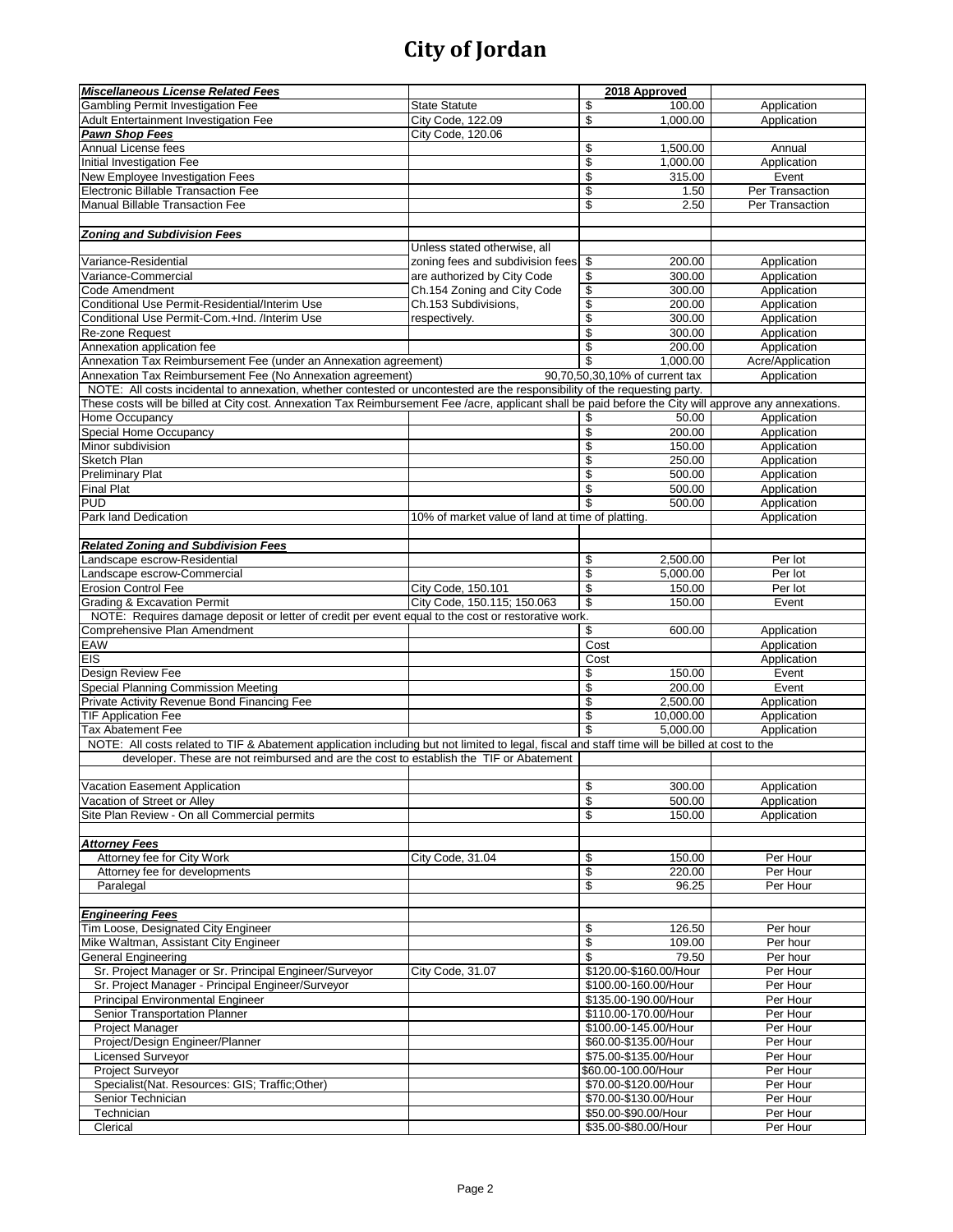| <b>Miscellaneous License Related Fees</b>                                                                                                                                                |                                                  | 2018 Approved                                  |                      |
|------------------------------------------------------------------------------------------------------------------------------------------------------------------------------------------|--------------------------------------------------|------------------------------------------------|----------------------|
| Gambling Permit Investigation Fee                                                                                                                                                        | <b>State Statute</b>                             | \$<br>100.00                                   | Application          |
| Adult Entertainment Investigation Fee                                                                                                                                                    | City Code, 122.09                                | \$<br>1,000.00                                 | Application          |
| Pawn Shop Fees                                                                                                                                                                           | City Code, 120.06                                |                                                |                      |
| Annual License fees                                                                                                                                                                      |                                                  | \$<br>1,500.00                                 | Annual               |
| Initial Investigation Fee                                                                                                                                                                |                                                  | \$<br>1,000.00                                 | Application          |
| New Employee Investigation Fees                                                                                                                                                          |                                                  | \$<br>315.00                                   | Event                |
| Electronic Billable Transaction Fee                                                                                                                                                      |                                                  | \$<br>1.50                                     | Per Transaction      |
| <b>Manual Billable Transaction Fee</b>                                                                                                                                                   |                                                  | \$<br>2.50                                     | Per Transaction      |
| <b>Zoning and Subdivision Fees</b>                                                                                                                                                       |                                                  |                                                |                      |
|                                                                                                                                                                                          | Unless stated otherwise, all                     |                                                |                      |
| Variance-Residential                                                                                                                                                                     | zoning fees and subdivision fees                 | \$<br>200.00                                   | Application          |
| Variance-Commercial                                                                                                                                                                      | are authorized by City Code                      | \$<br>300.00                                   | Application          |
| Code Amendment                                                                                                                                                                           | Ch.154 Zoning and City Code                      | \$<br>300.00                                   | Application          |
| Conditional Use Permit-Residential/Interim Use                                                                                                                                           | Ch.153 Subdivisions,                             | \$<br>200.00                                   | Application          |
| Conditional Use Permit-Com.+Ind. /Interim Use                                                                                                                                            | respectively.                                    | \$<br>300.00                                   | Application          |
| Re-zone Request                                                                                                                                                                          |                                                  | \$<br>300.00                                   | Application          |
| Annexation application fee                                                                                                                                                               |                                                  | \$<br>200.00                                   | Application          |
| Annexation Tax Reimbursement Fee (under an Annexation agreement)                                                                                                                         |                                                  | \$<br>1,000.00                                 | Acre/Application     |
| Annexation Tax Reimbursement Fee (No Annexation agreement)<br>NOTE: All costs incidental to annexation, whether contested or uncontested are the responsibility of the requesting party. |                                                  | 90,70,50,30,10% of current tax                 | Application          |
| These costs will be billed at City cost. Annexation Tax Reimbursement Fee /acre, applicant shall be paid before the City will approve any annexations.                                   |                                                  |                                                |                      |
| Home Occupancy                                                                                                                                                                           |                                                  | 50.00<br>\$                                    | Application          |
| Special Home Occupancy                                                                                                                                                                   |                                                  | \$<br>200.00                                   | Application          |
| Minor subdivision                                                                                                                                                                        |                                                  | \$<br>150.00                                   | Application          |
| Sketch Plan                                                                                                                                                                              |                                                  | \$<br>250.00                                   | Application          |
| <b>Preliminary Plat</b>                                                                                                                                                                  |                                                  | \$<br>500.00                                   | Application          |
| <b>Final Plat</b>                                                                                                                                                                        |                                                  | \$<br>500.00                                   | Application          |
| <b>PUD</b>                                                                                                                                                                               |                                                  | \$<br>500.00                                   | Application          |
| Park land Dedication                                                                                                                                                                     | 10% of market value of land at time of platting. |                                                | Application          |
| <b>Related Zoning and Subdivision Fees</b>                                                                                                                                               |                                                  |                                                |                      |
| Landscape escrow-Residential                                                                                                                                                             |                                                  | \$<br>2,500.00                                 | Per lot              |
| Landscape escrow-Commercial                                                                                                                                                              |                                                  | \$<br>5,000.00                                 | Per lot              |
| <b>Erosion Control Fee</b>                                                                                                                                                               | City Code, 150.101                               | \$<br>150.00                                   | Per lot              |
| <b>Grading &amp; Excavation Permit</b>                                                                                                                                                   | City Code, 150.115; 150.063                      | \$<br>150.00                                   | Event                |
| NOTE: Requires damage deposit or letter of credit per event equal to the cost or restorative work.                                                                                       |                                                  |                                                |                      |
| Comprehensive Plan Amendment                                                                                                                                                             |                                                  | \$<br>600.00                                   | Application          |
| EAW                                                                                                                                                                                      |                                                  | Cost                                           | Application          |
| <b>EIS</b>                                                                                                                                                                               |                                                  | Cost                                           | Application          |
| Design Review Fee                                                                                                                                                                        |                                                  | \$<br>150.00                                   | Event                |
| Special Planning Commission Meeting<br>Private Activity Revenue Bond Financing Fee                                                                                                       |                                                  | \$<br>200.00<br>\$<br>2,500.00                 | Event<br>Application |
| <b>TIF Application Fee</b>                                                                                                                                                               |                                                  | \$<br>10,000.00                                | Application          |
| Tax Abatement Fee                                                                                                                                                                        |                                                  | \$<br>5.000.00                                 | Application          |
| NOTE: All costs related to TIF & Abatement application including but not limited to legal, fiscal and staff time will be billed at cost to the                                           |                                                  |                                                |                      |
| developer. These are not reimbursed and are the cost to establish the TIF or Abatement                                                                                                   |                                                  |                                                |                      |
|                                                                                                                                                                                          |                                                  |                                                |                      |
| Vacation Easement Application                                                                                                                                                            |                                                  | \$<br>300.00                                   | Application          |
| Vacation of Street or Alley                                                                                                                                                              |                                                  | \$<br>500.00                                   | Application          |
| Site Plan Review - On all Commercial permits                                                                                                                                             |                                                  | 150.00<br>\$                                   | Application          |
| <b>Attorney Fees</b>                                                                                                                                                                     |                                                  |                                                |                      |
| Attorney fee for City Work                                                                                                                                                               | City Code, 31.04                                 | 150.00<br>\$                                   | Per Hour             |
| Attorney fee for developments                                                                                                                                                            |                                                  | \$<br>220.00                                   | Per Hour             |
| Paralegal                                                                                                                                                                                |                                                  | \$<br>96.25                                    | Per Hour             |
|                                                                                                                                                                                          |                                                  |                                                |                      |
| <b>Engineering Fees</b>                                                                                                                                                                  |                                                  |                                                |                      |
| Tim Loose, Designated City Engineer                                                                                                                                                      |                                                  | \$<br>126.50                                   | Per hour             |
| Mike Waltman, Assistant City Engineer                                                                                                                                                    |                                                  | \$<br>109.00                                   | Per hour             |
| <b>General Engineering</b>                                                                                                                                                               |                                                  | \$<br>79.50                                    | Per hour             |
| Sr. Project Manager or Sr. Principal Engineer/Surveyor<br>Sr. Project Manager - Principal Engineer/Surveyor                                                                              | City Code, 31.07                                 | \$120.00-\$160.00/Hour<br>\$100.00-160.00/Hour | Per Hour<br>Per Hour |
| <b>Principal Environmental Engineer</b>                                                                                                                                                  |                                                  | \$135.00-190.00/Hour                           | Per Hour             |
| Senior Transportation Planner                                                                                                                                                            |                                                  | \$110.00-170.00/Hour                           | Per Hour             |
| Project Manager                                                                                                                                                                          |                                                  | \$100.00-145.00/Hour                           | Per Hour             |
| Project/Design Engineer/Planner                                                                                                                                                          |                                                  | \$60.00-\$135.00/Hour                          | Per Hour             |
| <b>Licensed Surveyor</b>                                                                                                                                                                 |                                                  | \$75.00-\$135.00/Hour                          | Per Hour             |
| Project Surveyor                                                                                                                                                                         |                                                  | \$60.00-100.00/Hour                            | Per Hour             |
| Specialist(Nat. Resources: GIS; Traffic; Other)                                                                                                                                          |                                                  | \$70.00-\$120.00/Hour                          | Per Hour             |
| Senior Technician                                                                                                                                                                        |                                                  | \$70.00-\$130.00/Hour                          | Per Hour             |
| Technician                                                                                                                                                                               |                                                  | \$50.00-\$90.00/Hour                           | Per Hour             |
| Clerical                                                                                                                                                                                 |                                                  | \$35.00-\$80.00/Hour                           | Per Hour             |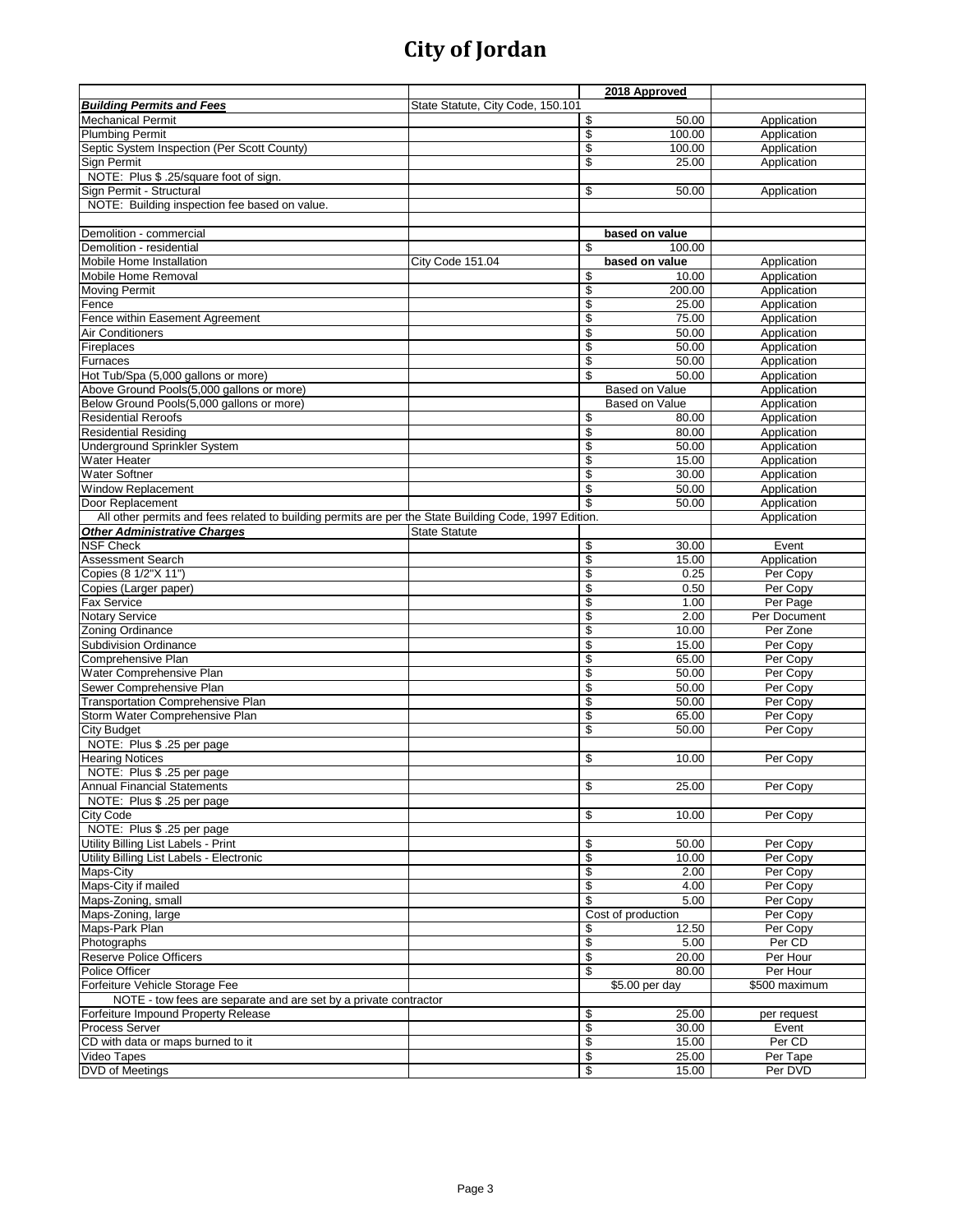|                                                                                                       |                                   |          | 2018 Approved      |                            |
|-------------------------------------------------------------------------------------------------------|-----------------------------------|----------|--------------------|----------------------------|
| <b>Building Permits and Fees</b>                                                                      | State Statute, City Code, 150.101 |          |                    |                            |
| <b>Mechanical Permit</b>                                                                              |                                   | \$       | 50.00              | Application                |
| <b>Plumbing Permit</b>                                                                                |                                   | \$       | 100.00             | Application                |
| Septic System Inspection (Per Scott County)                                                           |                                   | \$       | 100.00             | Application                |
| Sign Permit                                                                                           |                                   | \$       | 25.00              | Application                |
| NOTE: Plus \$.25/square foot of sign.                                                                 |                                   |          |                    |                            |
| Sign Permit - Structural                                                                              |                                   | \$       | 50.00              | Application                |
| NOTE: Building inspection fee based on value.                                                         |                                   |          |                    |                            |
|                                                                                                       |                                   |          |                    |                            |
| Demolition - commercial                                                                               |                                   |          | based on value     |                            |
| Demolition - residential                                                                              |                                   | \$       | 100.00             |                            |
| Mobile Home Installation                                                                              | City Code 151.04                  |          | based on value     | Application                |
| Mobile Home Removal                                                                                   |                                   | \$       | 10.00              | Application                |
| <b>Moving Permit</b>                                                                                  |                                   | \$       | 200.00             | Application                |
| Fence                                                                                                 |                                   | \$       | 25.00              | Application                |
| Fence within Easement Agreement                                                                       |                                   | \$       | 75.00              | Application                |
| Air Conditioners                                                                                      |                                   | \$       | 50.00              | Application                |
| Fireplaces                                                                                            |                                   | \$       | 50.00              | Application                |
| Furnaces                                                                                              |                                   | \$       | 50.00              | Application                |
| Hot Tub/Spa (5,000 gallons or more)                                                                   |                                   | \$       | 50.00              | Application                |
| Above Ground Pools(5,000 gallons or more)                                                             |                                   |          | Based on Value     | Application                |
| Below Ground Pools(5,000 gallons or more)                                                             |                                   |          | Based on Value     | Application                |
| <b>Residential Reroofs</b>                                                                            |                                   |          | 80.00              |                            |
| <b>Residential Residing</b>                                                                           |                                   | \$<br>\$ | 80.00              | Application<br>Application |
|                                                                                                       |                                   |          |                    |                            |
| Underground Sprinkler System                                                                          |                                   | \$       | 50.00              | Application                |
| Water Heater                                                                                          |                                   | \$       | 15.00              | Application                |
| <b>Water Softner</b>                                                                                  |                                   | \$       | 30.00              | Application                |
| <b>Window Replacement</b>                                                                             |                                   | \$       | 50.00              | Application                |
| Door Replacement                                                                                      |                                   | \$       | 50.00              | Application                |
| All other permits and fees related to building permits are per the State Building Code, 1997 Edition. |                                   |          |                    | Application                |
| <b>Other Administrative Charges</b>                                                                   | <b>State Statute</b>              |          |                    |                            |
| <b>NSF Check</b>                                                                                      |                                   | \$       | 30.00              | Event                      |
| <b>Assessment Search</b>                                                                              |                                   | \$       | 15.00              | Application                |
| Copies (8 1/2"X 11")                                                                                  |                                   | \$       | 0.25               | Per Copy                   |
| Copies (Larger paper)                                                                                 |                                   | \$       | 0.50               | Per Copy                   |
| <b>Fax Service</b>                                                                                    |                                   | \$       | 1.00               | Per Page                   |
| <b>Notary Service</b>                                                                                 |                                   | \$       | 2.00               | Per Document               |
| Zoning Ordinance                                                                                      |                                   | \$       | 10.00              | Per Zone                   |
| <b>Subdivision Ordinance</b>                                                                          |                                   | \$       | 15.00              | Per Copy                   |
| Comprehensive Plan                                                                                    |                                   | \$       | 65.00              | Per Copy                   |
| Water Comprehensive Plan                                                                              |                                   | \$       | 50.00              | Per Copy                   |
| Sewer Comprehensive Plan                                                                              |                                   | \$       | 50.00              | Per Copy                   |
| <b>Transportation Comprehensive Plan</b>                                                              |                                   | \$       | 50.00              | Per Copy                   |
| Storm Water Comprehensive Plan                                                                        |                                   | \$       | 65.00              | Per Copy                   |
| <b>City Budget</b>                                                                                    |                                   | \$       | 50.00              | Per Copy                   |
| NOTE: Plus \$ .25 per page                                                                            |                                   |          |                    |                            |
| <b>Hearing Notices</b>                                                                                |                                   | \$       | 10.00              | Per Copy                   |
| NOTE: Plus \$ .25 per page                                                                            |                                   |          |                    |                            |
| <b>Annual Financial Statements</b>                                                                    |                                   | \$       | 25.00              | Per Copy                   |
| NOTE: Plus \$ .25 per page                                                                            |                                   |          |                    |                            |
| City Code                                                                                             |                                   | \$       | 10.00              | Per Copy                   |
| NOTE: Plus \$ .25 per page                                                                            |                                   |          |                    |                            |
| Utility Billing List Labels - Print                                                                   |                                   | \$       | 50.00              | Per Copy                   |
| Utility Billing List Labels - Electronic                                                              |                                   | \$       | 10.00              | Per Copy                   |
| Maps-City                                                                                             |                                   | \$       | 2.00               | Per Copy                   |
| Maps-City if mailed                                                                                   |                                   | \$       | 4.00               | Per Copy                   |
| Maps-Zoning, small                                                                                    |                                   | \$       | 5.00               | Per Copy                   |
| Maps-Zoning, large                                                                                    |                                   |          | Cost of production | Per Copy                   |
| Maps-Park Plan                                                                                        |                                   | \$       | 12.50              | Per Copy                   |
| Photographs                                                                                           |                                   | \$       | 5.00               | Per CD                     |
| <b>Reserve Police Officers</b>                                                                        |                                   | \$       | 20.00              | Per Hour                   |
| Police Officer                                                                                        |                                   | \$       | 80.00              | Per Hour                   |
| Forfeiture Vehicle Storage Fee                                                                        |                                   |          | \$5.00 per day     | \$500 maximum              |
| NOTE - tow fees are separate and are set by a private contractor                                      |                                   |          |                    |                            |
| Forfeiture Impound Property Release                                                                   |                                   | \$       | 25.00              | per request                |
| <b>Process Server</b>                                                                                 |                                   | \$       | 30.00              | Event                      |
| CD with data or maps burned to it                                                                     |                                   | \$       | 15.00              | Per CD                     |
| Video Tapes                                                                                           |                                   | \$       | 25.00              | Per Tape                   |
| <b>DVD</b> of Meetings                                                                                |                                   | \$       | 15.00              | Per DVD                    |
|                                                                                                       |                                   |          |                    |                            |